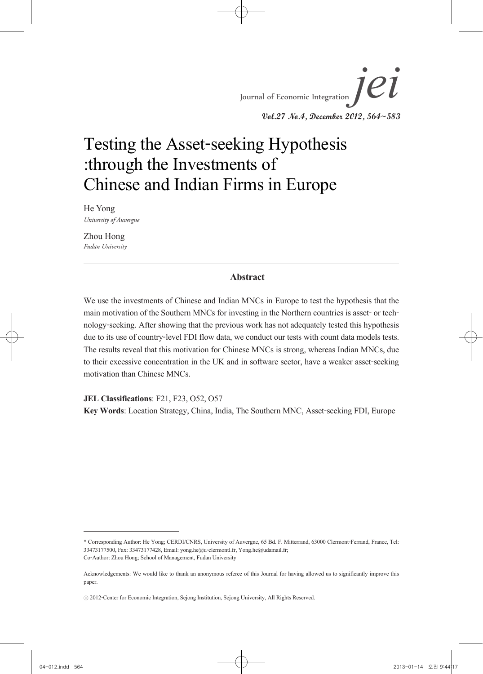*jei* Vol.27 No.4, December 2012, 564~583 He Yong and Zhou Hong Journal of Economic Integration *Jei* **Vol.27 No.4, December 2012, 564~583**

# Testing the Asset-seeking Hypothesis :through the Investments of Chinese and Indian Firms in Europe

He Yong *University of Auvergne*

Zhou Hong *Fudan University* 

#### **Abstract**

We use the investments of Chinese and Indian MNCs in Europe to test the hypothesis that the main motivation of the Southern MNCs for investing in the Northern countries is asset- or tech-<br>nology-seeking. After showing that the previous work has not adequately tested this hypothesis due to its use of country-level FDI flow data, we conduct our tests with count data models tests. The results reveal that this motivation for Chinese MNCs is strong, whereas Indian MNCs, due to their excessive concentration in the UK and in software sector, have a weaker asset-seeking motivation than Chinese MNCs.

**JEL Classifications**: F21, F23, O52, O57

**Key Words**: Location Strategy, China, India, The Southern MNC, Asset-seeking FDI, Europe

<sup>\*</sup> Corresponding Author: He Yong; CERDI/CNRS, University of Auvergne, 65 Bd. F. Mitterrand, 63000 Clermont-Ferrand, France, Tel: 33473177500, Fax: 33473177428, Email: yong.he@u-clermontl.fr, Yong.he@udamail.fr; Co-Author: Zhou Hong; School of Management, Fudan University

Acknowledgements: We would like to thank an anonymous referee of this Journal for having allowed us to significantly improve this paper.

<sup>ⓒ</sup> 2012-Center for Economic Integration, Sejong Institution, Sejong University, All Rights Reserved.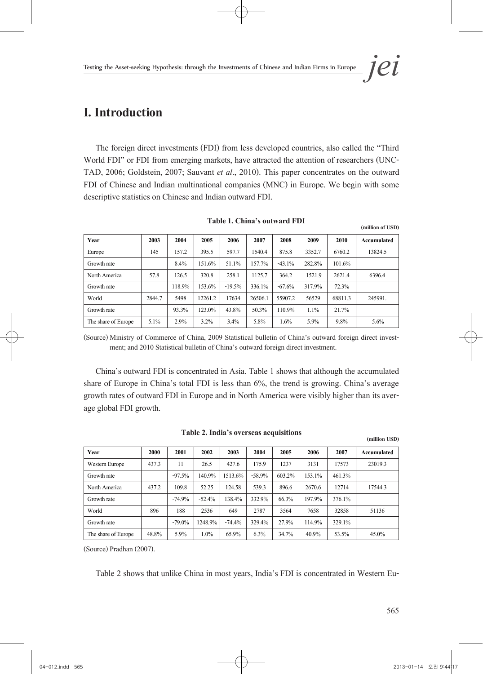# **I. Introduction**

The foreign direct investments (FDI) from less developed countries, also called the "Third World FDI" or FDI from emerging markets, have attracted the attention of researchers (UNC- TAD, 2006; Goldstein, 2007; Sauvant *et al*., 2010). This paper concentrates on the outward FDI of Chinese and Indian multinational companies (MNC) in Europe. We begin with some descriptive statistics on Chinese and Indian outward FDI.

| Year                | 2003    | 2004   | 2005    | 2006     | 2007    | 2008     | 2009    | 2010    | Accumulated |
|---------------------|---------|--------|---------|----------|---------|----------|---------|---------|-------------|
| Europe              | 145     | 157.2  | 395.5   | 597.7    | 1540.4  | 875.8    | 3352.7  | 6760.2  | 13824.5     |
| Growth rate         |         | 8.4%   | 151.6%  | 51.1%    | 157.7%  | $-43.1%$ | 282.8%  | 101.6%  |             |
| North America       | 57.8    | 126.5  | 320.8   | 258.1    | 1125.7  | 364.2    | 1521.9  | 2621.4  | 6396.4      |
| Growth rate         |         | 118.9% | 153.6%  | $-19.5%$ | 336.1%  | $-67.6%$ | 317.9%  | 72.3%   |             |
| World               | 2844.7  | 5498   | 12261.2 | 17634    | 26506.1 | 55907.2  | 56529   | 68811.3 | 245991.     |
| Growth rate         |         | 93.3%  | 123.0%  | 43.8%    | 50.3%   | 110.9%   | $1.1\%$ | 21.7%   |             |
| The share of Europe | $5.1\%$ | 2.9%   | $3.2\%$ | $3.4\%$  | 5.8%    | 1.6%     | 5.9%    | 9.8%    | 5.6%        |

**Table 1. China's outward FDI** 

(Source) Ministry of Commerce of China, 2009 Statistical bulletin of China's outward foreign direct invest- ment; and 2010 Statistical bulletin of China's outward foreign direct investment.

China's outward FDI is concentrated in Asia. Table 1 shows that although the accumulated share of Europe in China's total FDI is less than 6%, the trend is growing. China's average growth rates of outward FDI in Europe and in North America were visibly higher than its aver- age global FDI growth.

|                     |       |          |          |          |          |        |        |        | (million USD) |
|---------------------|-------|----------|----------|----------|----------|--------|--------|--------|---------------|
| Year                | 2000  | 2001     | 2002     | 2003     | 2004     | 2005   | 2006   | 2007   | Accumulated   |
| Western Europe      | 437.3 | 11       | 26.5     | 427.6    | 175.9    | 1237   | 3131   | 17573  | 23019.3       |
| Growth rate         |       | $-97.5%$ | 140.9%   | 1513.6%  | $-58.9%$ | 603.2% | 153.1% | 461.3% |               |
| North America       | 437.2 | 109.8    | 52.25    | 124.58   | 539.3    | 896.6  | 2670.6 | 12714  | 17544.3       |
| Growth rate         |       | $-74.9%$ | $-52.4%$ | 138.4%   | 332.9%   | 66.3%  | 197.9% | 376.1% |               |
| World               | 896   | 188      | 2536     | 649      | 2787     | 3564   | 7658   | 32858  | 51136         |
| Growth rate         |       | $-79.0%$ | 1248.9%  | $-74.4%$ | 329.4%   | 27.9%  | 114.9% | 329.1% |               |
| The share of Europe | 48.8% | 5.9%     | 1.0%     | 65.9%    | 6.3%     | 34.7%  | 40.9%  | 53.5%  | 45.0%         |

| Table 2. India's overseas acquisitions |  |  |
|----------------------------------------|--|--|
|----------------------------------------|--|--|

(Source) Pradhan (2007).

Table 2 shows that unlike China in most years, India's FDI is concentrated in Western Eu-

565

**(million of USD)**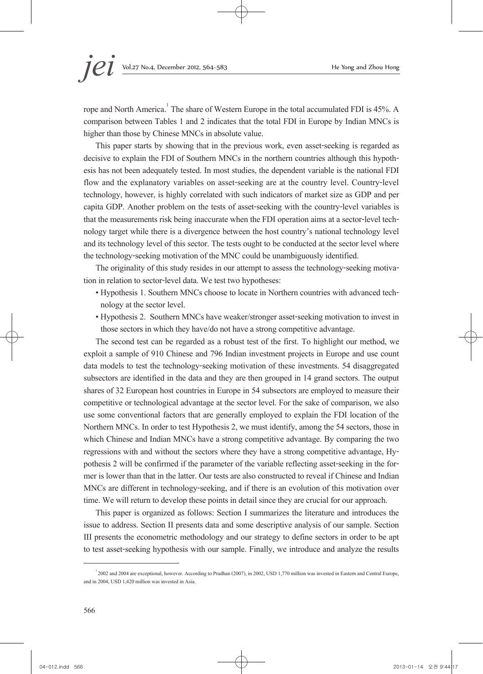rope and North America.<sup>1</sup> The share of Western Europe in the total accumulated FDI is 45%. A comparison between Tables 1 and 2 indicates that the total FDI in Europe by Indian MNCs is higher than those by Chinese MNCs in absolute value.

This paper starts by showing that in the previous work, even asset-seeking is regarded as decisive to explain the FDI of Southern MNCs in the northern countries although this hypothesis has not been adequately tested. In most studies, the dependent variable is the national FDI flow and the explanatory variables on asset-seeking are at the country level. Country-level technology, however, is highly correlated with such indicators of market size as GDP and per capita GDP. Another problem on the tests of asset-seeking with the country-level variables is that the measurements risk being inaccurate when the FDI operation aims at a sector-level tech- nology target while there is a divergence between the host country's national technology level and its technology level of this sector. The tests ought to be conducted at the sector level where the technology-seeking motivation of the MNC could be unambiguously identified.

The originality of this study resides in our attempt to assess the technology-seeking motiva- tion in relation to sector-level data. We test two hypotheses:

- Hypothesis 1. Southern MNCs choose to locate in Northern countries with advanced tech- nology at the sector level.
- Hypothesis 2. Southern MNCs have weaker/stronger asset-seeking motivation to invest in those sectors in which they have/do not have a strong competitive advantage.

The second test can be regarded as a robust test of the first. To highlight our method, we exploit a sample of 910 Chinese and 796 Indian investment projects in Europe and use count data models to test the technology-seeking motivation of these investments. 54 disaggregated subsectors are identified in the data and they are then grouped in 14 grand sectors. The output shares of 32 European host countries in Europe in 54 subsectors are employed to measure their competitive or technological advantage at the sector level. For the sake of comparison, we also use some conventional factors that are generally employed to explain the FDI location of the Northern MNCs. In order to test Hypothesis 2, we must identify, among the 54 sectors, those in which Chinese and Indian MNCs have a strong competitive advantage. By comparing the two regressions with and without the sectors where they have a strong competitive advantage, Hypothesis 2 will be confirmed if the parameter of the variable reflecting asset-seeking in the for-<br>mer is lower than that in the la MNCs are different in technology-seeking, and if there is an evolution of this motivation over time. We will return to develop these points in detail since they are crucial for our approach.

This paper is organized as follows: Section I summarizes the literature and introduces the issue to address. Section II presents data and some descriptive analysis of our sample. Section III presents the econometric methodology and our strategy to define sectors in order to be apt to test asset-seeking hypothesis with our sample. Finally, we introduce and analyze the results

<sup>1 2002</sup> and 2004 are exceptional, however. According to Pradhan (2007), in 2002, USD 1,770 million was invested in Eastern and Central Europe, and in 2004, USD 1,420 million was invested in Asia.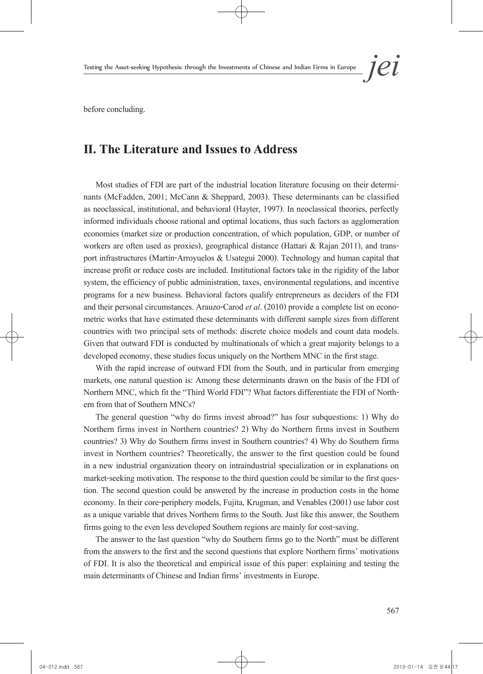before concluding.

# **II. The Literature and Issues to Address**

Most studies of FDI are part of the industrial location literature focusing on their determinants (McFadden, 2001; McCann & Sheppard, 2003). These determinants can be classified as neoclassical, institutional, and behavioral (Hayter, 1997). In neoclassical theories, perfectly informed individuals choose rational and optimal locations, thus such factors as agglomeration economies (market size or production concentration, of which population, GDP, or number of workers are often used as proxies), geographical distance (Hattari & Rajan 2011), and trans-<br>port infrastructures (Martín-Arroyuelos & Usategui 2000). Technology and human capital that increase profit or reduce costs are included. Institutional factors take in the rigidity of the labor system, the efficiency of public administration, taxes, environmental regulations, and incentive programs for a new business. Behavioral factors qualify entrepreneurs as deciders of the FDI and their personal circumstances. Arauzo-Carod *et al.* (2010) provide a complete list on econo-<br>metric works that have estimated these determinants with different sample sizes from different countries with two principal sets of methods: discrete choice models and count data models. Given that outward FDI is conducted by multinationals of which a great majority belongs to a developed economy, these studies focus uniquely on the Northern MNC in the first stage.

With the rapid increase of outward FDI from the South, and in particular from emerging markets, one natural question is: Among these determinants drawn on the basis of the FDI of Northern MNC, which fit the "Third World FDI"? What factors differentiate the FDI of Northern from that of Southern MNCs?

The general question "why do firms invest abroad?" has four subquestions: 1) Why do Northern firms invest in Northern countries? 2) Why do Northern firms invest in Southern countries? 3) Why do Southern firms invest in Southern countries? 4) Why do Southern firms invest in Northern countries? Theoretically, the answer to the first question could be found in a new industrial organization theory on intraindustrial specialization or in explanations on market-seeking motivation. The response to the third question could be similar to the first question. The second question could be answered by the increase in production costs in the home economy. In their core-periphery models, Fujita, Krugman, and Venables (2001) use labor cost as a unique variable that drives Northern firms to the South. Just like this answer, the Southern firms going to the even less developed Southern regions are mainly for cost-saving.

The answer to the last question "why do Southern firms go to the North" must be different from the answers to the first and the second questions that explore Northern firms' motivations of FDI. It is also the theoretical and empirical issue of this paper: explaining and testing the main determinants of Chinese and Indian firms' investments in Europe.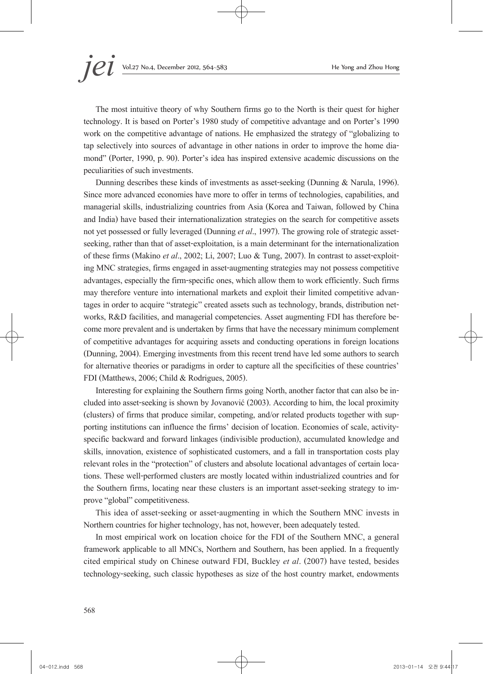The most intuitive theory of why Southern firms go to the North is their quest for higher technology. It is based on Porter's 1980 study of competitive advantage and on Porter's 1990 work on the competitive advantage of nations. He emphasized the strategy of "globalizing to tap selectively into sources of advantage in other nations in order to improve the home dia- mond" (Porter, 1990, p. 90). Porter's idea has inspired extensive academic discussions on the peculiarities of such investments.

Dunning describes these kinds of investments as asset-seeking (Dunning & Narula, 1996). Since more advanced economies have more to offer in terms of technologies, capabilities, and managerial skills, industrializing countries from Asia (Korea and Taiwan, followed by China and India) have based their internationalization strategies on the search for competitive assets not yet possessed or fully leveraged (Dunning *et al*., 1997). The growing role of strategic assetseeking, rather than that of asset-exploitation, is a main determinant for the internationalization of these firms (Makino *et al.*, 2002; Li, 2007; Luo & Tung, 2007). In contrast to asset-exploit-<br>ing MNC strategies, firms engaged in asset-augmenting strategies may not possess competitive advantages, especially the firm-specific ones, which allow them to work efficiently. Such firms may therefore venture into international markets and exploit their limited competitive advantages in order to acquire "strategic" created assets such as technology, brands, distribution networks, R&D facilities, and manage of competitive advantages for acquiring assets and conducting operations in foreign locations (Dunning, 2004). Emerging investments from this recent trend have led some authors to search for alternative theories or paradigms in order to capture all the specificities of these countries' FDI (Matthews, 2006; Child & Rodrigues, 2005).

Interesting for explaining the Southern firms going North, another factor that can also be in- cluded into asset-seeking is shown by Jovanović (2003). According to him, the local proximity (clusters) of firms that produce similar, competing, and/or related products together with sup- porting institutions can influence the firms' decision of location. Economies of scale, activityspecific backward and forward linkages (indivisible production), accumulated knowledge and skills, innovation, existence of sophisticated customers, and a fall in transportation costs play relevant roles in the "protection" of clusters and absolute locational advantages of certain loca- tions. These well-performed clusters are mostly located within industrialized countries and for the Southern firms, locating near these clusters is an important asset-seeking strategy to im- prove "global" competitiveness.

This idea of asset-seeking or asset-augmenting in which the Southern MNC invests in Northern countries for higher technology, has not, however, been adequately tested.

In most empirical work on location choice for the FDI of the Southern MNC, a general framework applicable to all MNCs, Northern and Southern, has been applied. In a frequently cited empirical study on Chinese outward FDI, Buckley *et al*. (2007) have tested, besides technology-seeking, such classic hypotheses as size of the host country market, endowments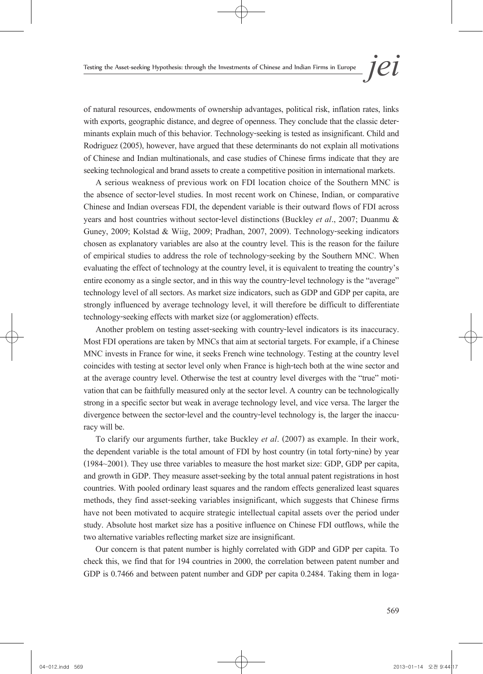of natural resources, endowments of ownership advantages, political risk, inflation rates, links with exports, geographic distance, and degree of openness. They conclude that the classic deter- minants explain much of this behavior. Technology-seeking is tested as insignificant. Child and Rodriguez (2005), however, have argued that these determinants do not explain all motivations of Chinese and Indian multinationals, and case studies of Chinese firms indicate that they are seeking technological and brand assets to create a competitive position in international markets.

A serious weakness of previous work on FDI location choice of the Southern MNC is the absence of sector-level studies. In most recent work on Chinese, Indian, or comparative Chinese and Indian overseas FDI, the dependent variable is their outward flows of FDI across years and host countries without sector-level distinctions (Buckley *et al*., 2007; Duanmu & Guney, 2009; Kolstad & Wiig, 2009; Pradhan, 2007, 2009). Technology-seeking indicators chosen as explanatory variables are also at the country level. This is the reason for the failure of empirical studies to address the role of technology-seeking by the Southern MNC. When evaluating the effect of technology at the country level, it is equivalent to treating the country's entire economy as a single sector, and in this way the country-level technology is the "average" technology level of all sectors. As market size indicators, such as GDP and GDP per capita, are strongly influenced by average technology level, it will therefore be difficult to differentiate technology-seeking effects with market size (or agglomeration) effects.

Another problem on testing asset-seeking with country-level indicators is its inaccuracy. Most FDI operations are taken by MNCs that aim at sectorial targets. For example, if a Chinese MNC invests in France for wine, it seeks French wine technology. Testing at the country level coincides with testing at sector level only when France is high-tech both at the wine sector and at the average country level. Otherwise the test at country level diverges with the "true" moti- vation that can be faithfully measured only at the sector level. A country can be technologically strong in a specific sector but weak in average technology level, and vice versa. The larger the divergence between the sector-level and the country-level technology is, the larger the inaccu- racy will be.

To clarify our arguments further, take Buckley *et al*. (2007) as example. In their work, the dependent variable is the total amount of FDI by host country (in total forty-nine) by year (1984~2001). They use three variables to measure the host market size: GDP, GDP per capita, and growth in GDP. They measure asset-seeking by the total annual patent registrations in host countries. With pooled ordinary least squares and the random effects generalized least squares methods, they find asset-seeking variables insignificant, which suggests that Chinese firms have not been motivated to acquire strategic intellectual capital assets over the period under study. Absolute host market size has a positive influence on Chinese FDI outflows, while the two alternative variables reflecting market size are insignificant.

Our concern is that patent number is highly correlated with GDP and GDP per capita. To check this, we find that for 194 countries in 2000, the correlation between patent number and GDP is 0.7466 and between patent number and GDP per capita 0.2484. Taking them in loga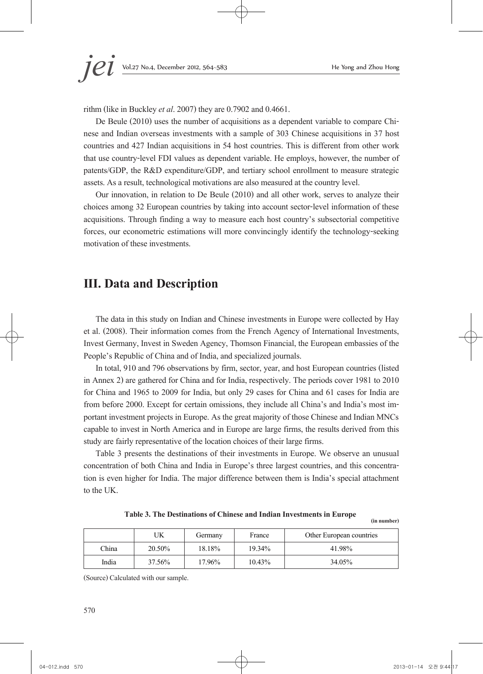rithm (like in Buckley *et al*. 2007) they are 0.7902 and 0.4661.

De Beule (2010) uses the number of acquisitions as a dependent variable to compare Chinese and Indian overseas investments with a sample of 303 Chinese acquisitions in 37 host countries and 427 Indian acquisitions in 54 host countries. This is different from other work that use country-level FDI values as dependent variable. He employs, however, the number of patents/GDP, the R&D expenditure/GDP, and tertiary school enrollment to measure strategic assets. As a result, technological motivations are also measured at the country level.

Our innovation, in relation to De Beule (2010) and all other work, serves to analyze their choices among 32 European countries by taking into account sector-level information of these acquisitions. Through finding a way to measure each host country's subsectorial competitive forces, our econometric estimations will more convincingly identify the technology-seeking motivation of these investments.

## **III. Data and Description**

The data in this study on Indian and Chinese investments in Europe were collected by Hay et al. (2008). Their information comes from the French Agency of International Investments, Invest Germany, Invest in Sweden Agency, Thomson Financial, the European embassies of the People's Republic of China and of India, and specialized journals.

In total, 910 and 796 observations by firm, sector, year, and host European countries (listed in Annex 2) are gathered for China and for India, respectively. The periods cover 1981 to 2010 for China and 1965 to 2009 for India, but only 29 cases for China and 61 cases for India are from before 2000. Except for certain omissions, they include all China's and India's most im- portant investment projects in Europe. As the great majority of those Chinese and Indian MNCs capable to invest in North America and in Europe are large firms, the results derived from this study are fairly representative of the location choices of their large firms.

Table 3 presents the destinations of their investments in Europe. We observe an unusual concentration of both China and India in Europe's three largest countries, and this concentra- tion is even higher for India. The major difference between them is India's special attachment to the UK.

**Table 3. The Destinations of Chinese and Indian Investments in Europe** 

**(in number)**

|       | UΚ     | Germany | France | Other European countries |
|-------|--------|---------|--------|--------------------------|
| China | 20.50% | 18.18%  | 19.34% | 41.98%                   |
| India | 37.56% | 17.96%  | 10.43% | 34.05%                   |

(Source) Calculated with our sample.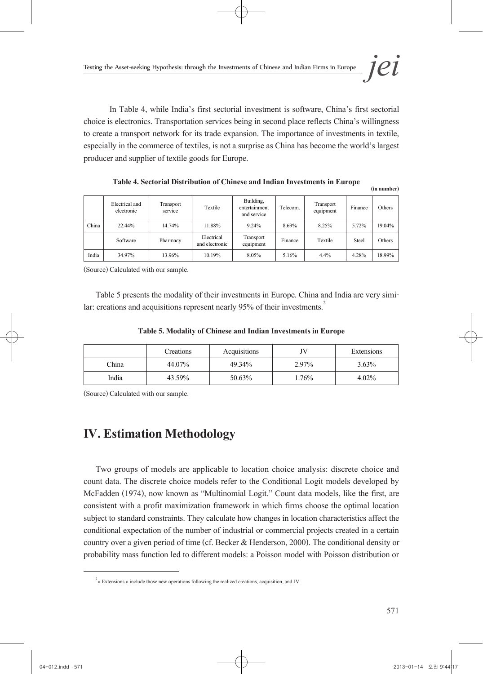In Table 4, while India's first sectorial investment is software, China's first sectorial choice is electronics. Transportation services being in second place reflects China's willingness to create a transport network for its trade expansion. The importance of investments in textile, especially in the commerce of textiles, is not a surprise as China has become the world's largest producer and supplier of textile goods for Europe.

|       | Electrical and<br>electronic | Transport<br>service | Textile                      | Building,<br>entertainment<br>and service | Telecom. | Transport<br>equipment | Finance | Others |
|-------|------------------------------|----------------------|------------------------------|-------------------------------------------|----------|------------------------|---------|--------|
| China | 22.44%                       | 14.74%               | 11.88%                       | 9.24%                                     | 8.69%    | 8.25%                  | 5.72%   | 19.04% |
|       | Software                     | Pharmacy             | Electrical<br>and electronic | Transport<br>equipment                    | Finance  | Textile                | Steel   | Others |
| India | 34.97%                       | 13.96%               | 10.19%                       | 8.05%                                     | 5.16%    | 4.4%                   | 4.28%   | 18.99% |

**Table 4. Sectorial Distribution of Chinese and Indian Investments in Europe** 

(Source) Calculated with our sample.

Table 5 presents the modality of their investments in Europe. China and India are very similar: creations and acquisitions represent nearly 95% of their investments.<sup>2</sup>

|       | Creations | Acquisitions | JV    | Extensions |
|-------|-----------|--------------|-------|------------|
| China | 44.07%    | 49.34%       | 2.97% | $3.63\%$   |
| India | 43.59%    | 50.63%       | .76%  | $4.02\%$   |

(Source) Calculated with our sample.

# **IV. Estimation Methodology**

Two groups of models are applicable to location choice analysis: discrete choice and count data. The discrete choice models refer to the Conditional Logit models developed by McFadden (1974), now known as "Multinomial Logit." Count data models, like the first, are consistent with a profit maximization framework in which firms choose the optimal location subject to standard constraints. They calculate how changes in location characteristics affect the conditional expectation of the number of industrial or commercial projects created in a certain country over a given period of time (cf. Becker & Henderson, 2000). The conditional density or probability mass function led to different models: a Poisson model with Poisson distribution or

**(in number)**

<sup>2 «</sup> Extensions» include those new operations following the realized creations, acquisition, and JV.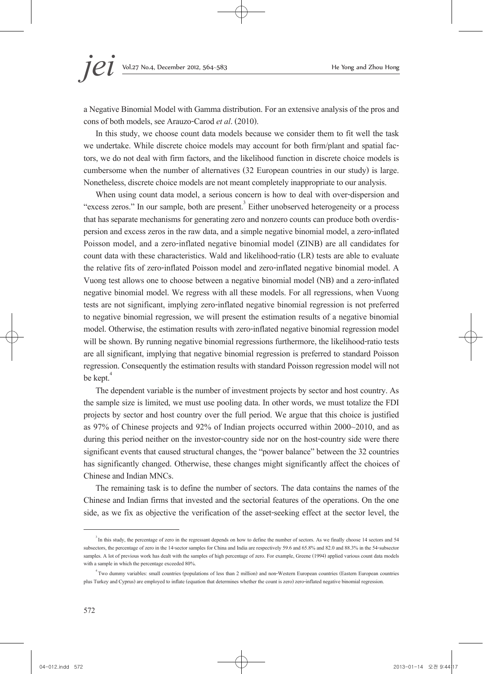a Negative Binomial Model with Gamma distribution. For an extensive analysis of the pros and cons of both models, see Arauzo-Carod *et al*. (2010).

In this study, we choose count data models because we consider them to fit well the task we undertake. While discrete choice models may account for both firm/plant and spatial fac- tors, we do not deal with firm factors, and the likelihood function in discrete choice models is cumbersome when the number of alternatives (32 European countries in our study) is large. Nonetheless, discrete choice models are not meant completely inappropriate to our analysis.

When using count data model, a serious concern is how to deal with over-dispersion and "excess zeros." In our sample, both are present.<sup>3</sup> Either unobserved heterogeneity or a process that has separate mechanisms for generating zero and nonzero counts can produce both overdis- persion and excess zeros in the raw data, and a simple negative binomial model, a zero-inflated Poisson model, and a zero-inflated negative binomial model (ZINB) are all candidates for count data with these characteristics. Wald and likelihood-ratio (LR) tests are able to evaluate the relative fits of zero-inflated Poisson model and zero-inflated negative binomial model. A Vuong test allows one to choose between a negative binomial model (NB) and a zero-inflated negative binomial model. We regress with all these models. For all regressions, when Vuong tests are not significant, implying zero-inflated negative binomial regression is not preferred to negative binomial regression, we will present the estimation results of a negative binomial model. Otherwise, the estimation results with zero-inflated negative binomial regression model will be shown. By running negative binomial regressions furthermore, the likelihood-ratio tests are all significant, implying that negative binomial regression is preferred to standard Poisson regression. Consequently the estimation results with standard Poisson regression model will not be kept.<sup>4</sup>

The dependent variable is the number of investment projects by sector and host country. As the sample size is limited, we must use pooling data. In other words, we must totalize the FDI projects by sector and host country over the full period. We argue that this choice is justified as 97% of Chinese projects and 92% of Indian projects occurred within 2000~2010, and as during this period neither on the investor-country side nor on the host-country side were there significant events that caused structural changes, the "power balance" between the 32 countries has significantly changed. Otherwise, these changes might significantly affect the choices of Chinese and Indian MNCs.

The remaining task is to define the number of sectors. The data contains the names of the Chinese and Indian firms that invested and the sectorial features of the operations. On the one side, as we fix as objective the verification of the asset-seeking effect at the sector level, the

<sup>&</sup>lt;sup>3</sup> In this study, the percentage of zero in the regressant depends on how to define the number of sectors. As we finally choose 14 sectors and 54 subsectors, the percentage of zero in the 14-sector samples for China and India are respectively 59.6 and 65.8% and 82.0 and 88.3% in the 54-subsector samples. A lot of previous work has dealt with the samples of high percentage of zero. For example, Greene (1994) applied various count data models with a sample in which the percentage exceeded 80%.

<sup>4</sup> Two dummy variables: small countries (populations of less than 2 million) and non-Western European countries (Eastern European countries plus Turkey and Cyprus) are employed to inflate (equation that determines whether the count is zero) zero-inflated negative binomial regression.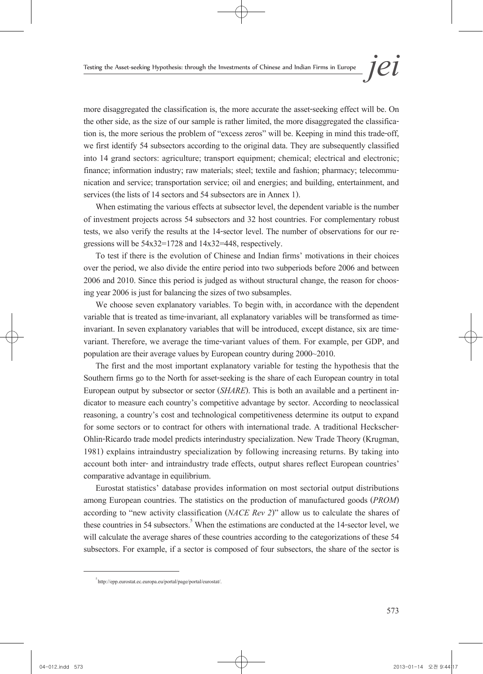more disaggregated the classification is, the more accurate the asset-seeking effect will be. On the other side, as the size of our sample is rather limited, the more disaggregated the classifica- tion is, the more serious the problem of "excess zeros" will be. Keeping in mind this trade-off, we first identify 54 subsectors according to the original data. They are subsequently classified into 14 grand sectors: agriculture; transport equipment; chemical; electrical and electronic; finance; information industry; raw materials; steel; textile and fashion; pharmacy; telecommu- nication and service; transportation service; oil and energies; and building, entertainment, and services (the lists of 14 sectors and 54 subsectors are in Annex 1).

When estimating the various effects at subsector level, the dependent variable is the number of investment projects across 54 subsectors and 32 host countries. For complementary robust tests, we also verify the results at the 14-sector level. The number of observations for our re-<br>gressions will be 54x32=1728 and 14x32=448, respectively.

To test if there is the evolution of Chinese and Indian firms' motivations in their choices over the period, we also divide the entire period into two subperiods before 2006 and between 2006 and 2010. Since this period is judged as without structural change, the reason for choos- ing year 2006 is just for balancing the sizes of two subsamples.

We choose seven explanatory variables. To begin with, in accordance with the dependent variable that is treated as time-invariant, all explanatory variables will be transformed as timeinvariant. In seven explanatory variables that will be introduced, except distance, six are timevariant. Therefore, we average the time-variant values of them. For example, per GDP, and population are their average values by European country during 2000~2010.

The first and the most important explanatory variable for testing the hypothesis that the Southern firms go to the North for asset-seeking is the share of each European country in total European output by subsector or sector (*SHARE*). This is both an available and a pertinent in-<br>dicator to measure each country's competitive advantage by sector. According to neoclassical reasoning, a country's cost and technological competitiveness determine its output to expand for some sectors or to contract for others with international trade. A traditional Heckscher-Ohlin-Ricardo trade model predicts interindustry specialization. New Trade Theory (Krugman, 1981) explains intraindustry specialization by following increasing returns. By taking into account both inter- and intraindustry trade effects, output shares reflect European countries' comparative advantage in equilibrium.

Eurostat statistics' database provides information on most sectorial output distributions among European countries. The statistics on the production of manufactured goods (*PROM*) according to "new activity classification (*NACE Rev 2*)" allow us to calculate the shares of these countries in 54 subsectors.<sup>5</sup> When the estimations are conducted at the 14-sector level, we will calculate the average shares of these countries according to the categorizations of these 54 subsectors. For example, if a sector is composed of four subsectors, the share of the sector is

<sup>5</sup> http://epp.eurostat.ec.europa.eu/portal/page/portal/eurostat/.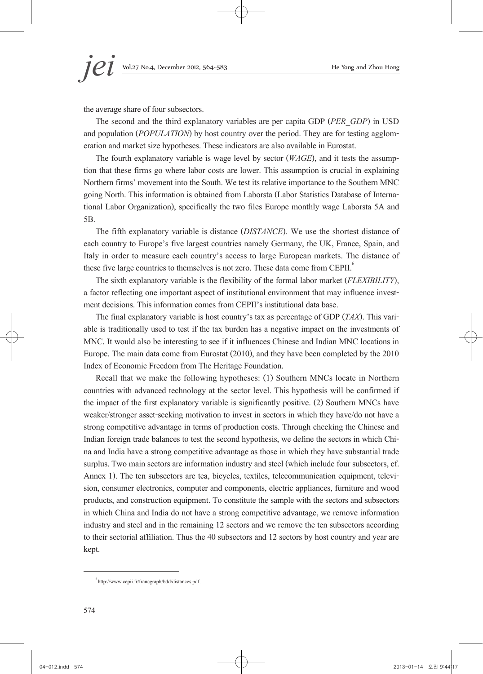the average share of four subsectors.

The second and the third explanatory variables are per capita GDP (*PER\_GDP*) in USD and population (*POPULATION*) by host country over the period. They are for testing agglomeration and market size hypotheses. These indicators are also available in Eurostat.

The fourth explanatory variable is wage level by sector (*WAGE*), and it tests the assumption that these firms go where labor costs are lower. This assumption is crucial in explaining Northern firms' movement into the South. We test its relative importance to the Southern MNC going North. This information is obtained from Laborsta (Labor Statistics Database of Interna- tional Labor Organization), specifically the two files Europe monthly wage Laborsta 5A and 5B.

The fifth explanatory variable is distance (*DISTANCE*). We use the shortest distance of each country to Europe's five largest countries namely Germany, the UK, France, Spain, and Italy in order to measure each country's access to large European markets. The distance of these five large countries to themselves is not zero. These data come from CEPII.<sup>6</sup>

The sixth explanatory variable is the flexibility of the formal labor market (*FLEXIBILITY*), a factor reflecting one important aspect of institutional environment that may influence invest- ment decisions. This information comes from CEPII's institutional data base.

The final explanatory variable is host country's tax as percentage of GDP (*TAX*). This variable is traditionally used to test if the tax burden has a negative impact on the investments of MNC. It would also be interesting to see if it influences Chinese and Indian MNC locations in Europe. The main data come from Eurostat (2010), and they have been completed by the 2010 Index of Economic Freedom from The Heritage Foundation.

Recall that we make the following hypotheses: (1) Southern MNCs locate in Northern countries with advanced technology at the sector level. This hypothesis will be confirmed if the impact of the first explanatory variable is significantly positive. (2) Southern MNCs have weaker/stronger asset-seeking motivation to invest in sectors in which they have/do not have a strong competitive advantage in terms of production costs. Through checking the Chinese and Indian foreign trade balances to test the second hypothesis, we define the sectors in which Chi- na and India have a strong competitive advantage as those in which they have substantial trade surplus. Two main sectors are information industry and steel (which include four subsectors, cf. Annex 1). The ten subsectors are tea, bicycles, textiles, telecommunication equipment, television, consumer electronics, computer and components, electric appliances, furniture and wood products, and construction equipment. To constitute the sample with the sectors and subsectors in which China and India do not have a strong competitive advantage, we remove information industry and steel and in the remaining 12 sectors and we remove the ten subsectors according to their sectorial affiliation. Thus the 40 subsectors and 12 sectors by host country and year are kept.

<sup>6</sup> http://www.cepii.fr/francgraph/bdd/distances.pdf.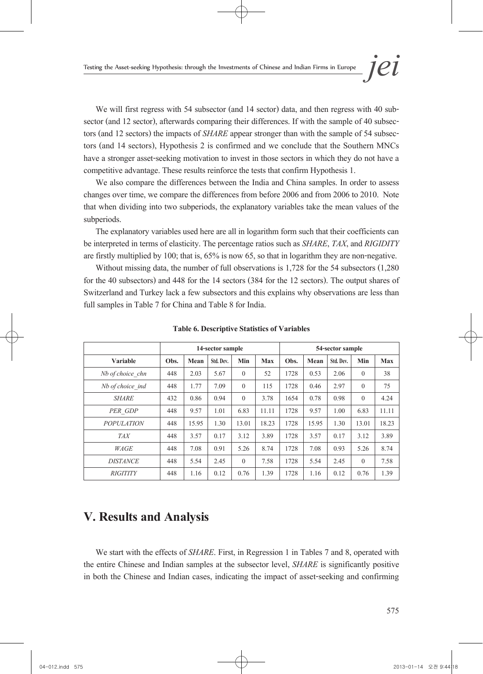We will first regress with 54 subsector (and 14 sector) data, and then regress with 40 subsector (and 12 sector), afterwards comparing their differences. If with the sample of 40 subsectors (and 12 sectors) the impacts of have a stronger asset-seeking motivation to invest in those sectors in which they do not have a competitive advantage. These results reinforce the tests that confirm Hypothesis 1.

We also compare the differences between the India and China samples. In order to assess changes over time, we compare the differences from before 2006 and from 2006 to 2010. Note that when dividing into two subperiods, the explanatory variables take the mean values of the subperiods.

The explanatory variables used here are all in logarithm form such that their coefficients can be interpreted in terms of elasticity. The percentage ratios such as *SHARE*, *TAX*, and *RIGIDITY* are firstly multiplied by 100; that is, 65% is now 65, so that in logarithm they are non-negative.

Without missing data, the number of full observations is 1,728 for the 54 subsectors (1,280 for the 40 subsectors) and 448 for the 14 sectors (384 for the 12 sectors). The output shares of Switzerland and Turkey lack a few subsectors and this explains why observations are less than full samples in Table 7 for China and Table 8 for India.

|                   |      | 14-sector sample |           |          |            | 54-sector sample |       |           |          |            |
|-------------------|------|------------------|-----------|----------|------------|------------------|-------|-----------|----------|------------|
| <b>Variable</b>   | Obs. | Mean             | Std. Dev. | Min      | <b>Max</b> | Obs.             | Mean  | Std. Dev. | Min      | <b>Max</b> |
| Nb of choice chn  | 448  | 2.03             | 5.67      | $\theta$ | 52         | 1728             | 0.53  | 2.06      | $\theta$ | 38         |
| Nb of choice ind  | 448  | 1.77             | 7.09      | $\Omega$ | 115        | 1728             | 0.46  | 2.97      | $\theta$ | 75         |
| <b>SHARE</b>      | 432  | 0.86             | 0.94      | $\Omega$ | 3.78       | 1654             | 0.78  | 0.98      | $\theta$ | 4.24       |
| PER GDP           | 448  | 9.57             | 1.01      | 6.83     | 11.11      | 1728             | 9.57  | 1.00      | 6.83     | 11.11      |
| <b>POPULATION</b> | 448  | 15.95            | 1.30      | 13.01    | 18.23      | 1728             | 15.95 | 1.30      | 13.01    | 18.23      |
| <i>TAX</i>        | 448  | 3.57             | 0.17      | 3.12     | 3.89       | 1728             | 3.57  | 0.17      | 3.12     | 3.89       |
| WAGE              | 448  | 7.08             | 0.91      | 5.26     | 8.74       | 1728             | 7.08  | 0.93      | 5.26     | 8.74       |
| <b>DISTANCE</b>   | 448  | 5.54             | 2.45      | $\theta$ | 7.58       | 1728             | 5.54  | 2.45      | $\theta$ | 7.58       |
| <i>RIGITITY</i>   | 448  | 1.16             | 0.12      | 0.76     | 1.39       | 1728             | 1.16  | 0.12      | 0.76     | 1.39       |

**Table 6. Descriptive Statistics of Variables**

## **V. Results and Analysis**

We start with the effects of *SHARE*. First, in Regression 1 in Tables 7 and 8, operated with the entire Chinese and Indian samples at the subsector level, *SHARE* is significantly positive in both the Chinese and Indian cases, indicating the impact of asset-seeking and confirming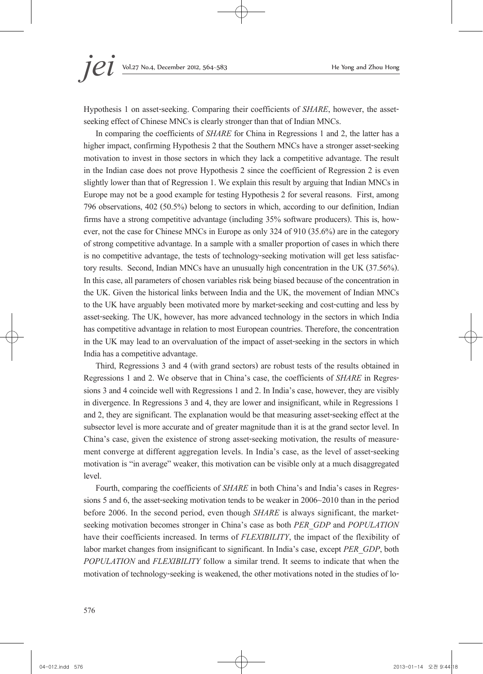Hypothesis 1 on asset-seeking. Comparing their coefficients of *SHARE*, however, the assetseeking effect of Chinese MNCs is clearly stronger than that of Indian MNCs.

In comparing the coefficients of *SHARE* for China in Regressions 1 and 2, the latter has a higher impact, confirming Hypothesis 2 that the Southern MNCs have a stronger asset-seeking motivation to invest in those sectors in which they lack a competitive advantage. The result in the Indian case does not prove Hypothesis 2 since the coefficient of Regression 2 is even slightly lower than that of Regression 1. We explain this result by arguing that Indian MNCs in Europe may not be a good example for testing Hypothesis 2 for several reasons. First, among 796 observations, 402 (50.5%) belong to sectors in which, according to our definition, Indian firms have a strong competitive advantage (including 35% software producers). This is, how- ever, not the case for Chinese MNCs in Europe as only 324 of 910 (35.6%) are in the category of strong competitive advantage. In a sample with a smaller proportion of cases in which there is no competitive advantage, the tests of technology-seeking motivation will get less satisfac- tory results. Second, Indian MNCs have an unusually high concentration in the UK (37.56%). In this case, all parameters of chosen variables risk being biased because of the concentration in the UK. Given the historical links between India and the UK, the movement of Indian MNCs to the UK have arguably been motivated more by market-seeking and cost-cutting and less by asset-seeking. The UK, however, has more advanced technology in the sectors in which India has competitive advantage in relation to most European countries. Therefore, the concentration in the UK may lead to an overvaluation of the impact of asset-seeking in the sectors in which India has a competitive advantage.

Third, Regressions 3 and 4 (with grand sectors) are robust tests of the results obtained in Regressions 1 and 2. We observe that in China's case, the coefficients of *SHARE* in Regressions 3 and 4 coincide well with Regressions 1 and 2. In India's case, however, they are visibly in divergence. In Regressions 3 and 4, they are lower and insignificant, while in Regressions 1 and 2, they are significant. The explanation would be that measuring asset-seeking effect at the subsector level is more accurate and of greater magnitude than it is at the grand sector level. In China's case, given the existence of strong asset-seeking motivation, the results of measure- ment converge at different aggregation levels. In India's case, as the level of asset-seeking motivation is "in average" weaker, this motivation can be visible only at a much disaggregated level.

Fourth, comparing the coefficients of *SHARE* in both China's and India's cases in Regressions 5 and 6, the asset-seeking motivation tends to be weaker in 2006~2010 than in the period before 2006. In the second period, even though *SHARE* is always significant, the marketseeking motivation becomes stronger in China's case as both *PER\_GDP* and *POPULATION*  have their coefficients increased. In terms of *FLEXIBILITY*, the impact of the flexibility of labor market changes from insignificant to significant. In India's case, except *PER\_GDP*, both *POPULATION* and *FLEXIBILITY* follow a similar trend. It seems to indicate that when the motivation of technology-seeking is weakened, the other motivations noted in the studies of lo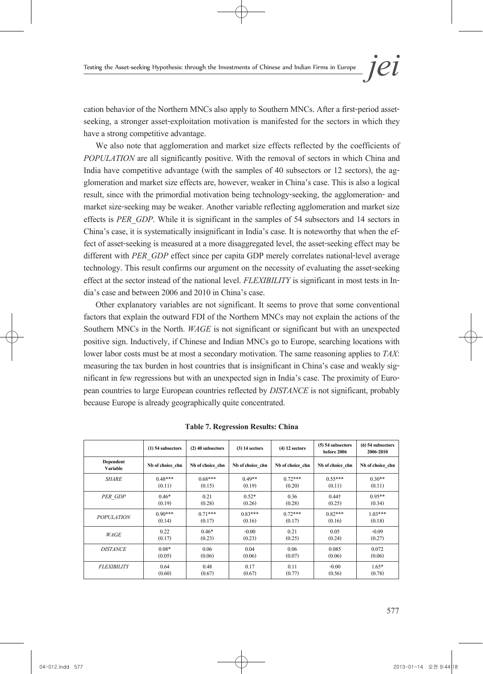cation behavior of the Northern MNCs also apply to Southern MNCs. After a first-period assetseeking, a stronger asset-exploitation motivation is manifested for the sectors in which they have a strong competitive advantage.

We also note that agglomeration and market size effects reflected by the coefficients of *POPULATION* are all significantly positive. With the removal of sectors in which China and India have competitive advantage (with the samples of 40 subsectors or 12 sectors), the ag-<br>glomeration and market size effects are, however, weaker in China's case. This is also a logical result, since with the primordial motivation being technology-seeking, the agglomeration- and market size-seeking may be weaker. Another variable reflecting agglomeration and market size effects is *PER\_GDP*. While it is significant in the samples of 54 subsectors and 14 sectors in China's case, it is systematically insignificant in India's case. It is noteworthy that when the ef- fect of asset-seeking is measured at a more disaggregated level, the asset-seeking effect may be different with *PER\_GDP* effect since per capita GDP merely correlates national-level average technology. This result confirms our argument on the necessity of evaluating the asset-seeking effect at the sector instead of the national level. *FLEXIBILITY* is significant in most tests in In- dia's case and between 2006 and 2010 in China's case.

Other explanatory variables are not significant. It seems to prove that some conventional factors that explain the outward FDI of the Northern MNCs may not explain the actions of the Southern MNCs in the North. *WAGE* is not significant or significant but with an unexpected positive sign. Inductively, if Chinese and Indian MNCs go to Europe, searching locations with lower labor costs must be at most a secondary motivation. The same reasoning applies to *TAX*: measuring the tax burden in host countries that is insignificant in China's case and weakly significant in few regressions but with an unexpected sign in India's case. The proximity of European countries to large European because Europe is already geographically quite concentrated.

|                       | $(1)$ 54 subsectors | (2) 40 subsectors | $(3)$ 14 sectors | $(4)$ 12 sectors | $(5)$ 54 subsectors<br>before 2006 | $(6)$ 54 subsectors<br>2006-2010 |
|-----------------------|---------------------|-------------------|------------------|------------------|------------------------------------|----------------------------------|
| Dependent<br>Variable | Nb of choice chn    | Nb of choice chn  | Nb of choice chn | Nb of choice chn | Nb of choice chn                   | Nb of choice chn                 |
| <b>SHARE</b>          | $0.48***$           | $0.68***$         | $0.49**$         | $0.72***$        | $0.55***$                          | $0.30**$                         |
|                       | (0.11)              | (0.15)            | (0.19)           | (0.20)           | (0.11)                             | (0.11)                           |
| PER GDP               | $0.46*$             | 0.21              | $0.52*$          | 0.36             | $0.44*$                            | $0.95**$                         |
|                       | (0.19)              | (0.28)            | (0.26)           | (0.28)           | (0.25)                             | (0.34)                           |
| <b>POPULATION</b>     | $0.90***$           | $0.71***$         | $0.83***$        | $0.72***$        | $0.82***$                          | $1.03***$                        |
|                       | (0.14)              | (0.17)            | (0.16)           | (0.17)           | (0.16)                             | (0.18)                           |
| WAGE                  | 0.22                | $0.46*$           | $-0.00$          | 0.21             | 0.05                               | $-0.09$                          |
|                       | (0.17)              | (0.23)            | (0.23)           | (0.25)           | (0.24)                             | (0.27)                           |
| <b>DISTANCE</b>       | $0.08*$             | 0.06              | 0.04             | 0.06             | 0.085                              | 0.072                            |
|                       | (0.05)              | (0.06)            | (0.06)           | (0.07)           | (0.06)                             | (0.06)                           |
| <b>FLEXIBILITY</b>    | 0.64                | 0.48              | 0.17             | 0.11             | $-0.00$                            | $1.65*$                          |
|                       | (0.60)              | (0.67)            | (0.67)           | (0.77)           | (0.56)                             | (0.78)                           |

**Table 7. Regression Results: China**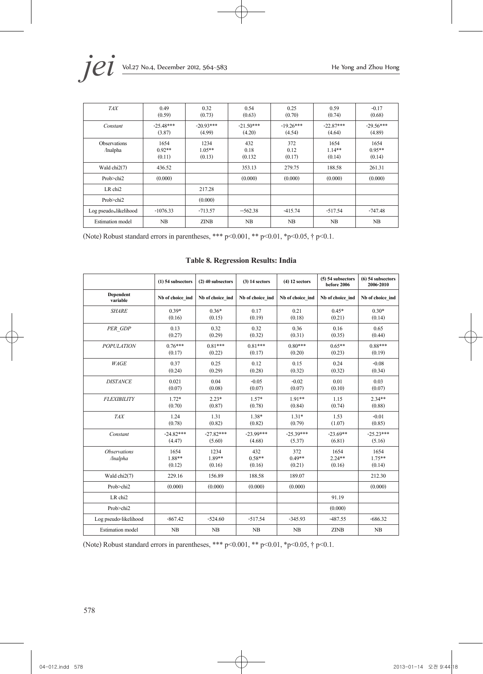| <b>TAX</b>                      | 0.49<br>(0.59)             | 0.32<br>(0.73)             | 0.54<br>(0.63)         | 0.25<br>(0.70)        | 0.59<br>(0.74)             | $-0.17$<br>(0.68)          |
|---------------------------------|----------------------------|----------------------------|------------------------|-----------------------|----------------------------|----------------------------|
| Constant                        | $-25.48***$<br>(3.87)      | $-20.93***$<br>(4.99)      | $-21.50***$<br>(4.20)  | $-19.26***$<br>(4.54) | $-22.87***$<br>(4.64)      | $-29.56***$<br>(4.89)      |
| <b>Observations</b><br>/lnalpha | 1654<br>$0.92**$<br>(0.11) | 1234<br>$1.05**$<br>(0.13) | 432<br>0.18<br>(0.132) | 372<br>0.12<br>(0.17) | 1654<br>$1.14**$<br>(0.14) | 1654<br>$0.95**$<br>(0.14) |
| Wald chi2(7)                    | 436.52                     |                            | 353.13                 | 279.75                | 188.58                     | 261.31                     |
| Prob>chi2                       | (0.000)                    |                            | (0.000)                | (0.000)               | (0.000)                    | (0.000)                    |
| LR chi <sub>2</sub>             |                            | 217.28                     |                        |                       |                            |                            |
| Prob>chi2                       |                            | (0.000)                    |                        |                       |                            |                            |
| Log pseudo-likelihood           | $-1076.33$                 | $-713.57$                  | $-562.38$              | $-415.74$             | $-517.54$                  | $-747.48$                  |
| <b>Estimation</b> model         | NB                         | <b>ZINB</b>                | NB                     | NB                    | NB                         | NB                         |

(Note) Robust standard errors in parentheses, \*\*\* p<0.001, \*\* p<0.01, \*p<0.05,  $\dagger$  p<0.1.

|                                 | (1) 54 subsectors        | (2) 40 subsectors        | $(3)$ 14 sectors          | $(4)$ 12 sectors          | (5) 54 subsectors<br>before 2006 | $(6)$ 54 subsectors<br>2006-2010 |
|---------------------------------|--------------------------|--------------------------|---------------------------|---------------------------|----------------------------------|----------------------------------|
| Dependent<br>variable           | Nb of choice ind         | Nb of choice ind         | Nb of choice ind          | Nb of choice ind          | Nb of choice ind                 | Nb of choice ind                 |
| <b>SHARE</b>                    | $0.39*$<br>(0.16)        | $0.36*$<br>(0.15)        | 0.17<br>(0.19)            | 0.21<br>(0.18)            | $0.45*$<br>(0.21)                | $0.30*$<br>(0.14)                |
| PER GDP                         | 0.13<br>(0.27)           | 0.32<br>(0.29)           | 0.32<br>(0.32)            | 0.36<br>(0.31)            | 0.16<br>(0.35)                   | 0.65<br>(0.44)                   |
| <b>POPULATION</b>               | $0.76***$<br>(0.17)      | $0.81***$<br>(0.22)      | $0.81***$<br>(0.17)       | $0.80***$<br>(0.20)       | $0.65**$<br>(0.23)               | $0.88***$<br>(0.19)              |
| WAGE                            | 0.37<br>(0.24)           | 0.25<br>(0.29)           | 0.12<br>(0.28)            | 0.15<br>(0.32)            | 0.24<br>(0.32)                   | $-0.08$<br>(0.34)                |
| <b>DISTANCE</b>                 | 0.021<br>(0.07)          | 0.04<br>(0.08)           | $-0.05$<br>(0.07)         | $-0.02$<br>(0.07)         | 0.01<br>(0.10)                   | 0.03<br>(0.07)                   |
| <b>FLEXIBILITY</b>              | $1.72*$<br>(0.70)        | $2.23*$<br>(0.87)        | $1.57*$<br>(0.78)         | $1.91**$<br>(0.84)        | 1.15<br>(0.74)                   | $2.34**$<br>(0.88)               |
| <b>TAX</b>                      | 1.24<br>(0.78)           | 1.31<br>(0.82)           | $1.38*$<br>(0.82)         | $1.31*$<br>(0.79)         | 1.53<br>(1.07)                   | $-0.01$<br>(0.85)                |
| Constant                        | $-24.82***$<br>(4.47)    | $-27.82***$<br>(5.60)    | $-23.99***$<br>(4.68)     | $-25.39***$<br>(5.37)     | $-23.69**$<br>(6.81)             | $-25.23***$<br>(5.16)            |
| <b>Observations</b><br>/lnalpha | 1654<br>1.88**<br>(0.12) | 1234<br>1.89**<br>(0.16) | 432<br>$0.58**$<br>(0.16) | 372<br>$0.49**$<br>(0.21) | 1654<br>$2.24**$<br>(0.16)       | 1654<br>$1.75**$<br>(0.14)       |
| Wald chi2(7)                    | 229.16                   | 156.89                   | 188.58                    | 189.07                    |                                  | 212.30                           |
| Prob>chi2                       | (0.000)                  | (0.000)                  | (0.000)                   | (0.000)                   |                                  | (0.000)                          |
| LR chi2                         |                          |                          |                           |                           | 91.19                            |                                  |
| Prob>chi2                       |                          |                          |                           |                           | (0.000)                          |                                  |
| Log pseudo-likelihood           | $-867.42$                | $-524.60$                | $-517.54$                 | $-345.93$                 | $-487.55$                        | $-686.32$                        |
| <b>Estimation</b> model         | NB                       | NB                       | NB                        | NB                        | <b>ZINB</b>                      | NB                               |

#### **Table 8. Regression Results: India**

(Note) Robust standard errors in parentheses, \*\*\* p<0.001, \*\* p<0.01, \*p<0.05, † p<0.1.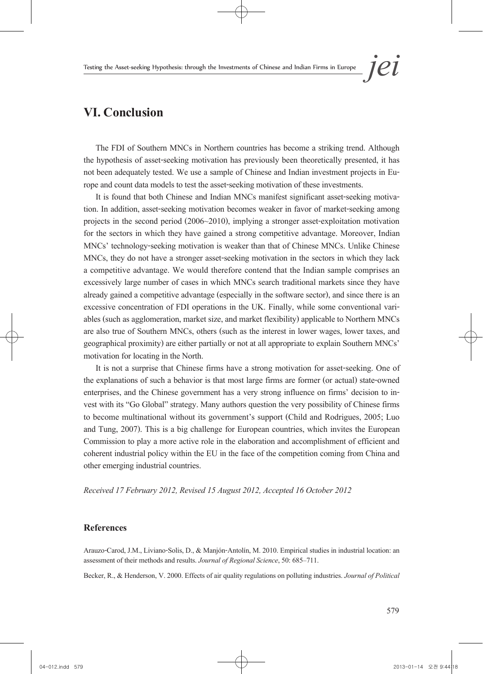## **VI. Conclusion**

The FDI of Southern MNCs in Northern countries has become a striking trend. Although the hypothesis of asset-seeking motivation has previously been theoretically presented, it has not been adequately tested. We use a sample of Chinese and Indian investment projects in Europe and count data models to test the asset-seeking motivation of these investments.

It is found that both Chinese and Indian MNCs manifest significant asset-seeking motiva- tion. In addition, asset-seeking motivation becomes weaker in favor of market-seeking among projects in the second period (2006~2010), implying a stronger asset-exploitation motivation for the sectors in which they have gained a strong competitive advantage. Moreover, Indian MNCs' technology-seeking motivation is weaker than that of Chinese MNCs. Unlike Chinese MNCs, they do not have a stronger asset-seeking motivation in the sectors in which they lack a competitive advantage. We would therefore contend that the Indian sample comprises an excessively large number of cases in which MNCs search traditional markets since they have already gained a competitive advantage (especially in the software sector), and since there is an excessive concentration of FDI operations in the UK. Finally, while some conventional vari- ables (such as agglomeration, market size, and market flexibility) applicable to Northern MNCs are also true of Southern MNCs, others (such as the interest in lower wages, lower taxes, and geographical proximity) are either partially or not at all appropriate to explain Southern MNCs' motivation for locating in the North.

It is not a surprise that Chinese firms have a strong motivation for asset-seeking. One of the explanations of such a behavior is that most large firms are former (or actual) state-owned enterprises, and the Chinese government has a very strong influence on firms' decision to in-<br>vest with its "Go Global" strategy. Many authors question the very possibility of Chinese firms to become multinational without its government's support (Child and Rodrigues, 2005; Luo and Tung, 2007). This is a big challenge for European countries, which invites the European Commission to play a more active role in the elaboration and accomplishment of efficient and coherent industrial policy within the EU in the face of the competition coming from China and other emerging industrial countries.

*Received 17 February 2012, Revised 15 August 2012, Accepted 16 October 2012* 

#### **References**

Arauzo-Carod, J.M., Liviano-Solis, D., & Manjón-Antolín, M. 2010. Empirical studies in industrial location: an assessment of their methods and results. *Journal of Regional Science*, 50:685–711.

Becker, R., & Henderson, V. 2000. Effects of air quality regulations on polluting industries. *Journal of Political*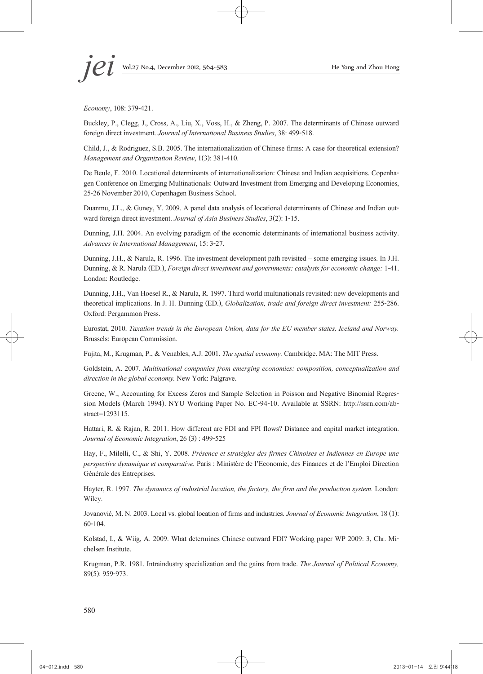*Economy*, 108: 379-421.

Buckley, P., Clegg, J., Cross, A., Liu, X., Voss, H., & Zheng, P. 2007. The determinants of Chinese outward foreign direct investment. *Journal of International Business Studies*, 38: 499-518.

Child, J., & Rodriguez, S.B. 2005. The internationalization of Chinese firms: A case for theoretical extension? *Management and Organization Review*, 1(3): 381-410.

De Beule, F. 2010. Locational determinants of internationalization: Chinese and Indian acquisitions. Copenha-<br>gen Conference on Emerging Multinationals: Outward Investment from Emerging and Developing Economies, 25-26 November 2010, Copenhagen Business School.

Duanmu, J.L., & Guney, Y. 2009. A panel data analysis of locational determinants of Chinese and Indian out- ward foreign direct investment. *Journal of Asia Business Studies*, 3(2): 1-15.

Dunning, J.H. 2004. An evolving paradigm of the economic determinants of international business activity. *Advances in International Management*, 15: 3-27.

Dunning, J.H., & Narula, R. 1996. The investment development path revisited – some emerging issues. In J.H. Dunning, & R. Narula (ED.), *Foreign direct investment and governments: catalysts for economic change:* 1-41. London: Routledge.

Dunning, J.H., Van Hoesel R., & Narula, R. 1997. Third world multinationals revisited: new developments and theoretical implications. In J. H. Dunning (ED.), *Globalization, trade and foreign direct investment:* 255-286. Oxford: Pergammon Press.

Eurostat, 2010. *Taxation trends in the European Union, data for the EU member states, Iceland and Norway.* Brussels: European Commission.

Fujita, M., Krugman, P., & Venables, A.J. 2001. *The spatial economy.* Cambridge. MA: The MIT Press.

Goldstein, A. 2007. *Multinational companies from emerging economies: composition, conceptualization and direction in the global economy.* New York: Palgrave.

Greene, W., Accounting for Excess Zeros and Sample Selection in Poisson and Negative Binomial Regression Models (March 1994). NYU Working Paper No. EC-94-10. Available at SSRN: http://ssrn.com/ab- stract=1293115.

Hattari, R. & Rajan, R. 2011. How different are FDI and FPI flows? Distance and capital market integration. *Journal of Economic Integration*, 26 (3) : 499-525

Hay, F., Milelli, C., & Shi, Y. 2008. *Présence et stratégies des firmes Chinoises et Indiennes en Europe une perspective dynamique et comparative.* Paris : Ministère de l'Economie, des Finances et de l'Emploi Direction Générale des Entreprises.

Hayter, R. 1997. *The dynamics of industrial location, the factory, the firm and the production system.* London: Wiley.

Jovanović, M. N. 2003. Local vs. global location of firms and industries. *Journal of Economic Integration*, 18 (1): 60-104.

Kolstad, I., & Wiig, A. 2009. What determines Chinese outward FDI? Working paper WP 2009: 3, Chr. Michelsen Institute.

Krugman, P.R. 1981. Intraindustry specialization and the gains from trade. *The Journal of Political Economy,* 89(5): 959-973.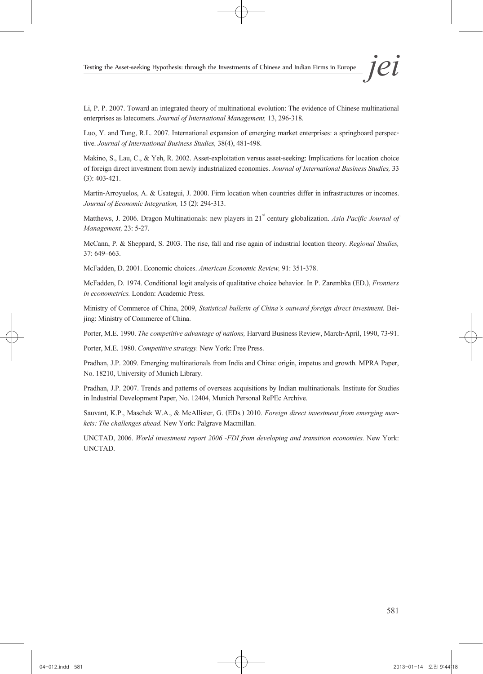Li, P. P. 2007. Toward an integrated theory of multinational evolution: The evidence of Chinese multinational enterprises as latecomers. *Journal of International Management,* 13, 296-318.

Luo, Y. and Tung, R.L. 2007. International expansion of emerging market enterprises: a springboard perspec- tive. *Journal of International Business Studies,* 38(4), 481-498.

Makino, S., Lau, C., & Yeh, R. 2002. Asset-exploitation versus asset-seeking: Implications for location choice of foreign direct investment from newly industrialized economies. *Journal of International Business Studies,* 33 (3): 403-421.

Martin-Arroyuelos, A. & Usategui, J. 2000. Firm location when countries differ in infrastructures or incomes. *Journal of Economic Integration,* 15 (2): 294-313.

Matthews, J. 2006. Dragon Multinationals: new players in 21<sup>st</sup> century globalization. *Asia Pacific Journal of Management,* 23: 5-27.

McCann, P. & Sheppard, S. 2003. The rise, fall and rise again of industrial location theory. *Regional Studies,* 37: 649–663.

McFadden, D. 2001. Economic choices. *American Economic Review,* 91: 351-378.

McFadden, D. 1974. Conditional logit analysis of qualitative choice behavior. In P. Zarembka (ED.), *Frontiers in econometrics.* London: Academic Press.

Ministry of Commerce of China, 2009, *Statistical bulletin of China's outward foreign direct investment.* Bei- jing: Ministry of Commerce of China.

Porter, M.E. 1990. *The competitive advantage of nations,* Harvard Business Review, March-April, 1990, 73-91.

Porter, M.E. 1980. *Competitive strategy.* New York: Free Press.

Pradhan, J.P. 2009. Emerging multinationals from India and China: origin, impetus and growth. MPRA Paper, No. 18210, University of Munich Library.

Pradhan, J.P. 2007. Trends and patterns of overseas acquisitions by Indian multinationals. Institute for Studies in Industrial Development Paper, No. 12404, Munich Personal RePEc Archive.

Sauvant, K.P., Maschek W.A., & McAllister, G. (EDs.) 2010. *Foreign direct investment from emerging mar- kets: The challenges ahead.* New York: Palgrave Macmillan.

UNCTAD, 2006. *World investment report 2006 -FDI from developing and transition economies.* New York: UNCTAD.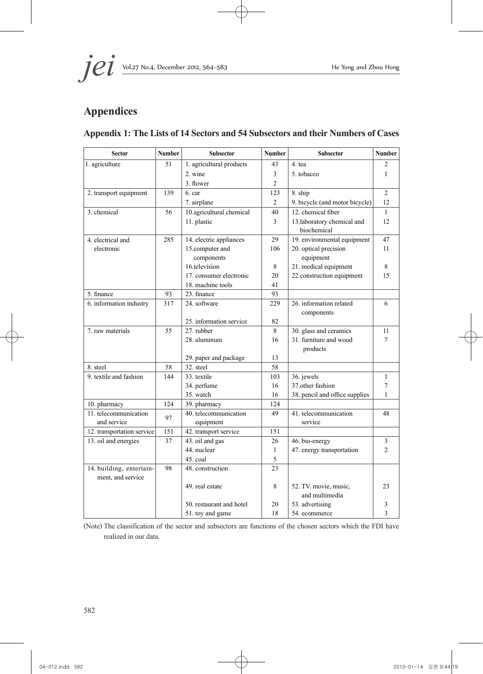

# **Appendices**

### **Appendix 1: The Lists of 14 Sectors and 54 Subsectors and their Numbers of Cases**

| <b>Sector</b>              | Number    | <b>Subsector</b>               | <b>Number</b>  | <b>Subsector</b>               | <b>Number</b>  |
|----------------------------|-----------|--------------------------------|----------------|--------------------------------|----------------|
| 1. agriculture             | 51        | 1. agricultural products       | 43             | 4 tea                          | 2              |
|                            |           | 2. wine                        | 3              | 5. tobacco                     | 1              |
|                            |           | 3. flower                      | $\overline{2}$ |                                |                |
| 2. transport equipment     | 139       | 6. car                         | 123            | 8. ship                        | $\overline{2}$ |
|                            |           | 7. airplane                    | $\overline{2}$ | 9. bicycle (and motor bicycle) | 12             |
| 3. chemical                | 56        | 10.agricultural chemical       | 40             | 12. chemical fiber             | $\mathbf{1}$   |
|                            |           | 11. plastic                    | 3              | 13.laboratory chemical and     | 12             |
|                            |           |                                |                | biochemical                    |                |
| 4. electrical and          | 285       | 14. electric appliances        | 29             | 19. environmental equipment    | 47             |
| electronic                 |           | 15.computer and                | 106            | 20. optical precision          | 11             |
|                            |           | components                     |                | equipment                      |                |
|                            |           | 16.television                  | 8              | 21. medical equipment          | 8              |
|                            |           | 17. consumer electronic        | 20             | 22.construction equipment      | 15             |
|                            |           | 18. machine tools              | 41             |                                |                |
| 5. finance                 | 93        | 23. finance                    | 93             |                                |                |
| 6. information industry    | 317       | 24. software                   | 229            | 26. information related        | 6              |
|                            |           |                                |                | components                     |                |
|                            |           | 25. information service        | 82             |                                |                |
| 7. raw materials           | 55        | 27. rubber                     | 8              | 30. glass and ceramics         | 11             |
|                            |           | 28. aluminum                   | 16             | 31. furniture and wood         | 7              |
|                            |           |                                |                | products                       |                |
|                            |           | 29. paper and package          | 13             |                                |                |
| 8. steel                   | 58        | 32. steel                      | 58             |                                |                |
| 9. textile and fashion     | 144       | 33. textile                    | 103            | 36. jewels                     | $\mathbf{1}$   |
|                            |           | 34. perfume                    | 16             | 37 other fashion               | 7              |
|                            |           | 35. watch                      | 16             | 38. pencil and office supplies | 1              |
| 10. pharmacy               | 124       | 39. pharmacy                   | 124            |                                |                |
| 11. telecommunication      | 97        | 40. telecommunication          | 49             | 41. telecommunication          | 48             |
| and service                |           | equipment                      |                | service                        |                |
| 12. transportation service | 151<br>37 | 42. transport service          | 151<br>26      |                                | $\mathfrak{Z}$ |
| 13. oil and energies       |           | 43. oil and gas<br>44. nuclear | $\mathbf{1}$   | 46. bio-energy                 | $\overline{2}$ |
|                            |           | 45. coal                       | 5              | 47. energy transportation      |                |
| 14. building, entertain-   | 98        | 48. construction               | 23             |                                |                |
| ment, and service          |           |                                |                |                                |                |
|                            |           | 49. real estate                | 8              | 52. TV. movie, music,          | 23             |
|                            |           |                                |                | and multimedia                 |                |
|                            |           | 50. restaurant and hotel       | 20             | 53. advertising                | 3              |
|                            |           | 51. toy and game               | 18             | 54. ecommerce                  | $\overline{3}$ |
|                            |           |                                |                |                                |                |

(Note) The classification of the sector and subsectors are functions of the chosen sectors which the FDI have realized in our data.